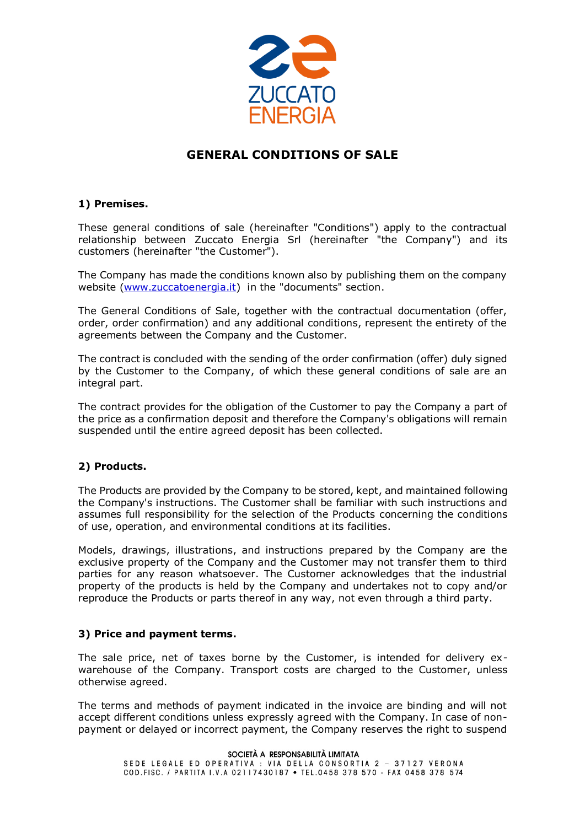

# **GENERAL CONDITIONS OF SALE**

# **1) Premises.**

These general conditions of sale (hereinafter "Conditions") apply to the contractual relationship between Zuccato Energia Srl (hereinafter "the Company") and its customers (hereinafter "the Customer").

The Company has made the conditions known also by publishing them on the company website [\(www.zuccatoenergia.it\)](http://www.zuccatoenergia.it/) in the "documents" section.

The General Conditions of Sale, together with the contractual documentation (offer, order, order confirmation) and any additional conditions, represent the entirety of the agreements between the Company and the Customer.

The contract is concluded with the sending of the order confirmation (offer) duly signed by the Customer to the Company, of which these general conditions of sale are an integral part.

The contract provides for the obligation of the Customer to pay the Company a part of the price as a confirmation deposit and therefore the Company's obligations will remain suspended until the entire agreed deposit has been collected.

# **2) Products.**

The Products are provided by the Company to be stored, kept, and maintained following the Company's instructions. The Customer shall be familiar with such instructions and assumes full responsibility for the selection of the Products concerning the conditions of use, operation, and environmental conditions at its facilities.

Models, drawings, illustrations, and instructions prepared by the Company are the exclusive property of the Company and the Customer may not transfer them to third parties for any reason whatsoever. The Customer acknowledges that the industrial property of the products is held by the Company and undertakes not to copy and/or reproduce the Products or parts thereof in any way, not even through a third party.

#### **3) Price and payment terms.**

The sale price, net of taxes borne by the Customer, is intended for delivery exwarehouse of the Company. Transport costs are charged to the Customer, unless otherwise agreed.

The terms and methods of payment indicated in the invoice are binding and will not accept different conditions unless expressly agreed with the Company. In case of nonpayment or delayed or incorrect payment, the Company reserves the right to suspend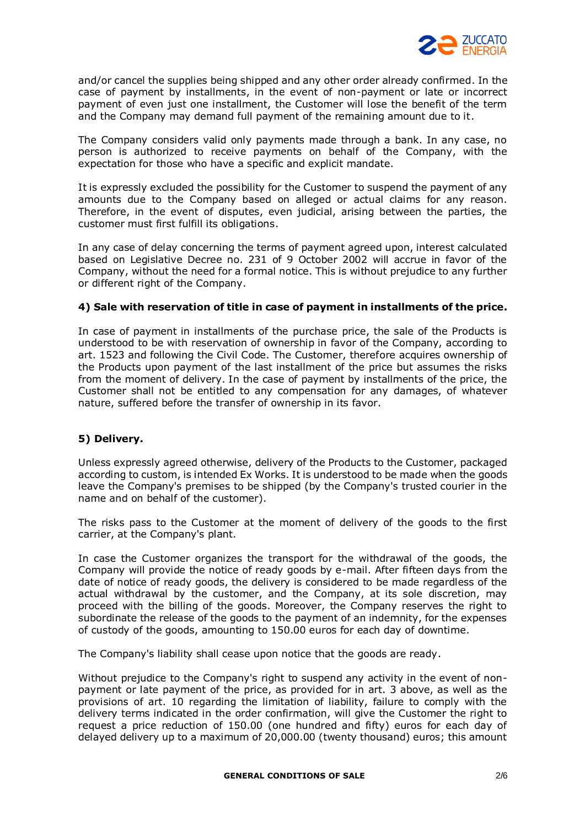

and/or cancel the supplies being shipped and any other order already confirmed. In the case of payment by installments, in the event of non-payment or late or incorrect payment of even just one installment, the Customer will lose the benefit of the term and the Company may demand full payment of the remaining amount due to it.

The Company considers valid only payments made through a bank. In any case, no person is authorized to receive payments on behalf of the Company, with the expectation for those who have a specific and explicit mandate.

It is expressly excluded the possibility for the Customer to suspend the payment of any amounts due to the Company based on alleged or actual claims for any reason. Therefore, in the event of disputes, even judicial, arising between the parties, the customer must first fulfill its obligations.

In any case of delay concerning the terms of payment agreed upon, interest calculated based on Legislative Decree no. 231 of 9 October 2002 will accrue in favor of the Company, without the need for a formal notice. This is without prejudice to any further or different right of the Company.

#### **4) Sale with reservation of title in case of payment in installments of the price.**

In case of payment in installments of the purchase price, the sale of the Products is understood to be with reservation of ownership in favor of the Company, according to art. 1523 and following the Civil Code. The Customer, therefore acquires ownership of the Products upon payment of the last installment of the price but assumes the risks from the moment of delivery. In the case of payment by installments of the price, the Customer shall not be entitled to any compensation for any damages, of whatever nature, suffered before the transfer of ownership in its favor.

# **5) Delivery.**

Unless expressly agreed otherwise, delivery of the Products to the Customer, packaged according to custom, is intended Ex Works. It is understood to be made when the goods leave the Company's premises to be shipped (by the Company's trusted courier in the name and on behalf of the customer).

The risks pass to the Customer at the moment of delivery of the goods to the first carrier, at the Company's plant.

In case the Customer organizes the transport for the withdrawal of the goods, the Company will provide the notice of ready goods by e-mail. After fifteen days from the date of notice of ready goods, the delivery is considered to be made regardless of the actual withdrawal by the customer, and the Company, at its sole discretion, may proceed with the billing of the goods. Moreover, the Company reserves the right to subordinate the release of the goods to the payment of an indemnity, for the expenses of custody of the goods, amounting to 150.00 euros for each day of downtime.

The Company's liability shall cease upon notice that the goods are ready.

Without prejudice to the Company's right to suspend any activity in the event of nonpayment or late payment of the price, as provided for in art. 3 above, as well as the provisions of art. 10 regarding the limitation of liability, failure to comply with the delivery terms indicated in the order confirmation, will give the Customer the right to request a price reduction of 150.00 (one hundred and fifty) euros for each day of delayed delivery up to a maximum of 20,000.00 (twenty thousand) euros; this amount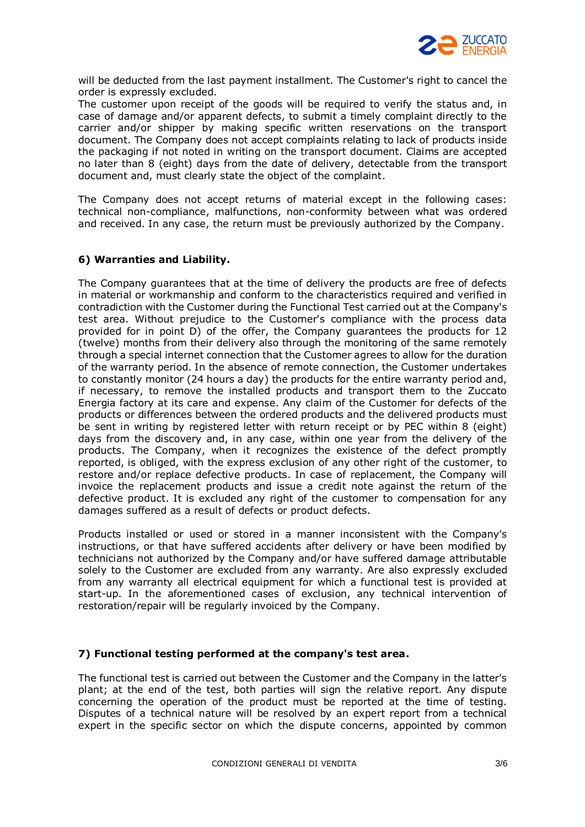

will be deducted from the last payment installment. The Customer's right to cancel the order is expressly excluded.

The customer upon receipt of the goods will be required to verify the status and, in case of damage and/or apparent defects, to submit a timely complaint directly to the carrier and/or shipper by making specific written reservations on the transport document. The Company does not accept complaints relating to lack of products inside the packaging if not noted in writing on the transport document. Claims are accepted no later than 8 (eight) days from the date of delivery, detectable from the transport document and, must clearly state the object of the complaint.

The Company does not accept returns of material except in the following cases: technical non-compliance, malfunctions, non-conformity between what was ordered and received. In any case, the return must be previously authorized by the Company.

# **6) Warranties and Liability.**

The Company guarantees that at the time of delivery the products are free of defects in material or workmanship and conform to the characteristics required and verified in contradiction with the Customer during the Functional Test carried out at the Company's test area. Without prejudice to the Customer's compliance with the process data provided for in point D) of the offer, the Company guarantees the products for 12 (twelve) months from their delivery also through the monitoring of the same remotely through a special internet connection that the Customer agrees to allow for the duration of the warranty period. In the absence of remote connection, the Customer undertakes to constantly monitor (24 hours a day) the products for the entire warranty period and, if necessary, to remove the installed products and transport them to the Zuccato Energia factory at its care and expense. Any claim of the Customer for defects of the products or differences between the ordered products and the delivered products must be sent in writing by registered letter with return receipt or by PEC within 8 (eight) days from the discovery and, in any case, within one year from the delivery of the products. The Company, when it recognizes the existence of the defect promptly reported, is obliged, with the express exclusion of any other right of the customer, to restore and/or replace defective products. In case of replacement, the Company will invoice the replacement products and issue a credit note against the return of the defective product. It is excluded any right of the customer to compensation for any damages suffered as a result of defects or product defects.

Products installed or used or stored in a manner inconsistent with the Company's instructions, or that have suffered accidents after delivery or have been modified by technicians not authorized by the Company and/or have suffered damage attributable solely to the Customer are excluded from any warranty. Are also expressly excluded from any warranty all electrical equipment for which a functional test is provided at start-up. In the aforementioned cases of exclusion, any technical intervention of restoration/repair will be regularly invoiced by the Company.

#### **7) Functional testing performed at the company's test area.**

The functional test is carried out between the Customer and the Company in the latter's plant; at the end of the test, both parties will sign the relative report. Any dispute concerning the operation of the product must be reported at the time of testing. Disputes of a technical nature will be resolved by an expert report from a technical expert in the specific sector on which the dispute concerns, appointed by common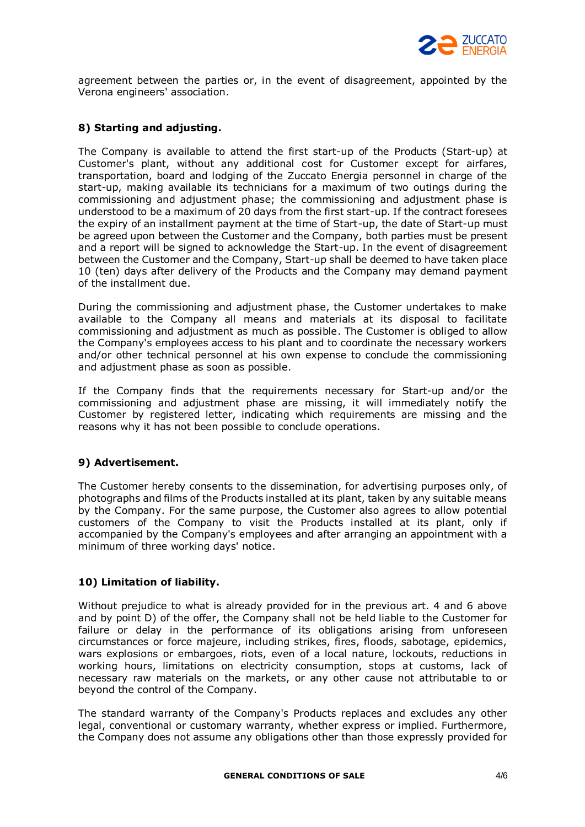

agreement between the parties or, in the event of disagreement, appointed by the Verona engineers' association.

# **8) Starting and adjusting.**

The Company is available to attend the first start-up of the Products (Start-up) at Customer's plant, without any additional cost for Customer except for airfares, transportation, board and lodging of the Zuccato Energia personnel in charge of the start-up, making available its technicians for a maximum of two outings during the commissioning and adjustment phase; the commissioning and adjustment phase is understood to be a maximum of 20 days from the first start-up. If the contract foresees the expiry of an installment payment at the time of Start-up, the date of Start-up must be agreed upon between the Customer and the Company, both parties must be present and a report will be signed to acknowledge the Start-up. In the event of disagreement between the Customer and the Company, Start-up shall be deemed to have taken place 10 (ten) days after delivery of the Products and the Company may demand payment of the installment due.

During the commissioning and adjustment phase, the Customer undertakes to make available to the Company all means and materials at its disposal to facilitate commissioning and adjustment as much as possible. The Customer is obliged to allow the Company's employees access to his plant and to coordinate the necessary workers and/or other technical personnel at his own expense to conclude the commissioning and adjustment phase as soon as possible.

If the Company finds that the requirements necessary for Start-up and/or the commissioning and adjustment phase are missing, it will immediately notify the Customer by registered letter, indicating which requirements are missing and the reasons why it has not been possible to conclude operations.

# **9) Advertisement.**

The Customer hereby consents to the dissemination, for advertising purposes only, of photographs and films of the Products installed at its plant, taken by any suitable means by the Company. For the same purpose, the Customer also agrees to allow potential customers of the Company to visit the Products installed at its plant, only if accompanied by the Company's employees and after arranging an appointment with a minimum of three working days' notice.

# **10) Limitation of liability.**

Without prejudice to what is already provided for in the previous art. 4 and 6 above and by point D) of the offer, the Company shall not be held liable to the Customer for failure or delay in the performance of its obligations arising from unforeseen circumstances or force majeure, including strikes, fires, floods, sabotage, epidemics, wars explosions or embargoes, riots, even of a local nature, lockouts, reductions in working hours, limitations on electricity consumption, stops at customs, lack of necessary raw materials on the markets, or any other cause not attributable to or beyond the control of the Company.

The standard warranty of the Company's Products replaces and excludes any other legal, conventional or customary warranty, whether express or implied. Furthermore, the Company does not assume any obligations other than those expressly provided for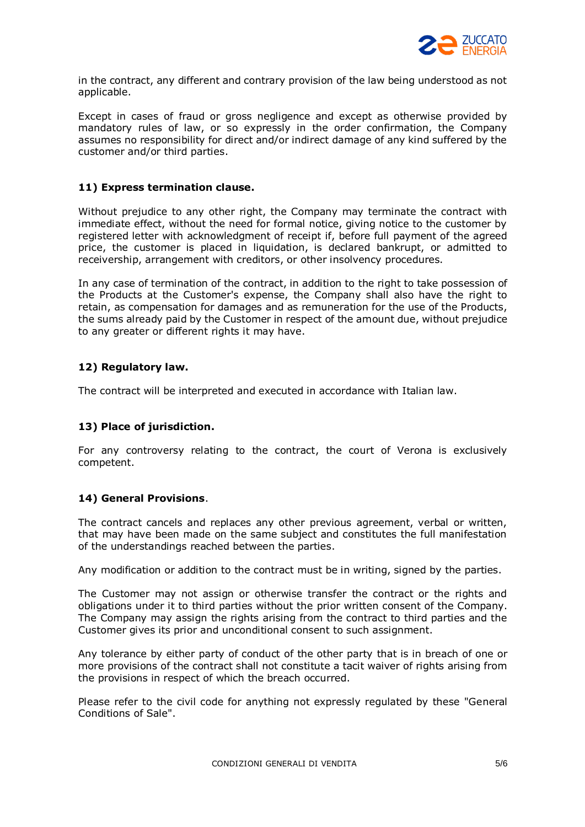

in the contract, any different and contrary provision of the law being understood as not applicable.

Except in cases of fraud or gross negligence and except as otherwise provided by mandatory rules of law, or so expressly in the order confirmation, the Company assumes no responsibility for direct and/or indirect damage of any kind suffered by the customer and/or third parties.

#### **11) Express termination clause.**

Without prejudice to any other right, the Company may terminate the contract with immediate effect, without the need for formal notice, giving notice to the customer by registered letter with acknowledgment of receipt if, before full payment of the agreed price, the customer is placed in liquidation, is declared bankrupt, or admitted to receivership, arrangement with creditors, or other insolvency procedures.

In any case of termination of the contract, in addition to the right to take possession of the Products at the Customer's expense, the Company shall also have the right to retain, as compensation for damages and as remuneration for the use of the Products, the sums already paid by the Customer in respect of the amount due, without prejudice to any greater or different rights it may have.

#### **12) Regulatory law.**

The contract will be interpreted and executed in accordance with Italian law.

# **13) Place of jurisdiction.**

For any controversy relating to the contract, the court of Verona is exclusively competent.

#### **14) General Provisions**.

The contract cancels and replaces any other previous agreement, verbal or written, that may have been made on the same subject and constitutes the full manifestation of the understandings reached between the parties.

Any modification or addition to the contract must be in writing, signed by the parties.

The Customer may not assign or otherwise transfer the contract or the rights and obligations under it to third parties without the prior written consent of the Company. The Company may assign the rights arising from the contract to third parties and the Customer gives its prior and unconditional consent to such assignment.

Any tolerance by either party of conduct of the other party that is in breach of one or more provisions of the contract shall not constitute a tacit waiver of rights arising from the provisions in respect of which the breach occurred.

Please refer to the civil code for anything not expressly regulated by these "General Conditions of Sale".